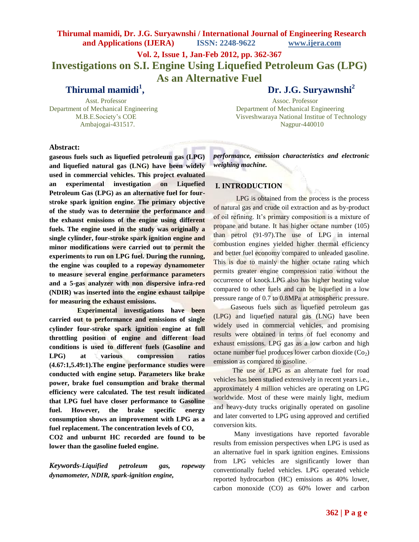**Vol. 2, Issue 1, Jan-Feb 2012, pp. 362-367**

**Investigations on S.I. Engine Using Liquefied Petroleum Gas (LPG) As an Alternative Fuel**

**Thirumal mamidi<sup>1</sup>**

**, Dr. J.G. Suryawnshi<sup>2</sup>**

 Asst. Professor Assoc. Professor Department of Mechanical Engineering Department of Mechanical Engineering M.B.E.Society"s COE Visveshwaraya National Institue of Technology Ambajogai-431517. Nagpur-440010

### **Abstract:**

**gaseous fuels such as liquefied petroleum gas (LPG) and liquefied natural gas (LNG) have been widely used in commercial vehicles. This project evaluated an experimental investigation on Liquefied Petroleum Gas (LPG) as an alternative fuel for fourstroke spark ignition engine. The primary objective of the study was to determine the performance and the exhaust emissions of the engine using different fuels. The engine used in the study was originally a single cylinder, four-stroke spark ignition engine and minor modifications were carried out to permit the experiments to run on LPG fuel. During the running, the engine was coupled to a ropeway dynamometer to measure several engine performance parameters and a 5-gas analyzer with non dispersive infra-red (NDIR) was inserted into the engine exhaust tailpipe for measuring the exhaust emissions.**

 **Experimental investigations have been carried out to performance and emissions of single cylinder four-stroke spark ignition engine at full throttling position of engine and different load conditions is used to different fuels (Gasoline and LPG) at various compression ratios (4.67:1,5.49:1).The engine performance studies were conducted with engine setup. Parameters like brake power, brake fuel consumption and brake thermal efficiency were calculated. The test result indicated that LPG fuel have closer performance to Gasoline fuel. However, the brake specific energy consumption shows an improvement with LPG as a fuel replacement. The concentration levels of CO,** 

**CO2 and unburnt HC recorded are found to be lower than the gasoline fueled engine.** 

*Keywords-Liquified petroleum gas, ropeway dynamometer, NDIR, spark-ignition engine,* 

*performance, emission characteristics and electronic weighing machine.*

### **I. INTRODUCTION**

LPG is obtained from the process is the process of natural gas and crude oil extraction and as by-product of oil refining. It's primary composition is a mixture of propane and butane. It has higher octane number (105) than petrol (91-97).The use of LPG in internal combustion engines yielded higher thermal efficiency and better fuel economy compared to unleaded gasoline. This is due to mainly the higher octane rating which permits greater engine compression ratio without the occurrence of knock.LPG also has higher heating value compared to other fuels and can be liquefied in a low pressure range of 0.7 to 0.8MPa at atmospheric pressure.

 Gaseous fuels such as liquefied petroleum gas (LPG) and liquefied natural gas (LNG) have been widely used in commercial vehicles, and promising results were obtained in terms of fuel economy and exhaust emissions. LPG gas as a low carbon and high octane number fuel produces lower carbon dioxide  $(C_0)$ emission as compared to gasoline.

The use of LPG as an alternate fuel for road vehicles has been studied extensively in recent years i.e., approximately 4 million vehicles are operating on LPG worldwide. Most of these were mainly light, medium and heavy-duty trucks originally operated on gasoline and later converted to LPG using approved and certified conversion kits.

 Many investigations have reported favorable results from emission perspectives when LPG is used as an alternative fuel in spark ignition engines. Emissions from LPG vehicles are significantly lower than conventionally fueled vehicles. LPG operated vehicle reported hydrocarbon (HC) emissions as 40% lower, carbon monoxide (CO) as 60% lower and carbon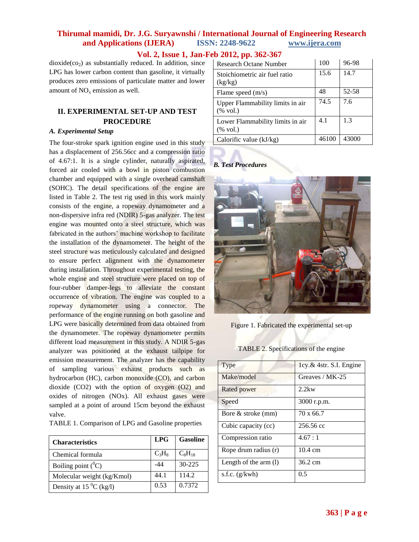# **Vol. 2, Issue 1, Jan-Feb 2012, pp. 362-367**

 $dioxide$ (co<sub>2</sub>) as substantially reduced. In addition, since LPG has lower carbon content than gasoline, it virtually produces zero emissions of particulate matter and lower amount of  $NO<sub>x</sub>$  emission as well.

## **II. EXPERIMENTAL SET-UP AND TEST PROCEDURE**

### *A. Experimental Setup*

The four-stroke spark ignition engine used in this study has a displacement of 256.56cc and a compression ratio of 4.67:1. It is a single cylinder, naturally aspirated, forced air cooled with a bowl in piston combustion chamber and equipped with a single overhead camshaft (SOHC). The detail specifications of the engine are listed in Table 2. The test rig used in this work mainly consists of the engine, a ropeway dynamometer and a non-dispersive infra red (NDIR) 5-gas analyzer. The test engine was mounted onto a steel structure, which was fabricated in the authors' machine workshop to facilitate the installation of the dynamometer. The height of the steel structure was meticulously calculated and designed to ensure perfect alignment with the dynamometer during installation. Throughout experimental testing, the whole engine and steel structure were placed on top of four-rubber damper-legs to alleviate the constant occurrence of vibration. The engine was coupled to a ropeway dynamometer using a connector. The performance of the engine running on both gasoline and LPG were basically determined from data obtained from the dynamometer. The ropeway dynamometer permits different load measurement in this study. A NDIR 5-gas analyzer was positioned at the exhaust tailpipe for emission measurement. The analyzer has the capability of sampling various exhaust products such as hydrocarbon (HC), carbon monoxide (CO), and carbon dioxide (CO2) with the option of oxygen (O2) and oxides of nitrogen (NOx). All exhaust gases were sampled at a point of around 15cm beyond the exhaust valve.

| TABLE 1. Comparison of LPG and Gasoline properties |  |  |  |  |  |
|----------------------------------------------------|--|--|--|--|--|
|----------------------------------------------------|--|--|--|--|--|

| <b>Characteristics</b>        | <b>LPG</b> | <b>Gasoline</b> |
|-------------------------------|------------|-----------------|
| Chemical formula              | $C_3H_8$   | $C_8H_{18}$     |
| Boiling point $(^0C)$         | -44        | $30 - 225$      |
| Molecular weight (kg/Kmol)    | 44.1       | 114.2           |
| Density at 15 $^{0}$ C (kg/l) | 0.53       | 0.7372          |

| Research Octane Number                                  | 100   | 96-98 |
|---------------------------------------------------------|-------|-------|
| Stoichiometric air fuel ratio<br>(kg/kg)                | 15.6  | 14.7  |
| Flame speed $(m/s)$                                     | 48    | 52-58 |
| Upper Flammability limits in air<br>$(\% \text{ vol.})$ | 74.5  | 7.6   |
| Lower Flammability limits in air<br>$(\% \text{ vol.})$ | 4.1   | 1.3   |
| Calorific value $(kJ/kg)$                               | 46100 | 43000 |

### *B. Test Procedures*



Figure 1. Fabricated the experimental set-up

TABLE 2. Specifications of the engine

| Type                    | $1cy \& 4str. S.I. Engine$ |
|-------------------------|----------------------------|
| Make/model              | Greaves / MK-25            |
| Rated power             | $2.2$ kw                   |
| Speed                   | 3000 r.p.m.                |
| Bore & stroke (mm)      | 70 x 66.7                  |
| Cubic capacity (cc)     | 256.56 cc                  |
| Compression ratio       | 4.67:1                     |
| Rope drum radius (r)    | $10.4 \text{ cm}$          |
| Length of the arm $(l)$ | 36.2 cm                    |
| s.f.c. $(g/kwh)$        | 0.5                        |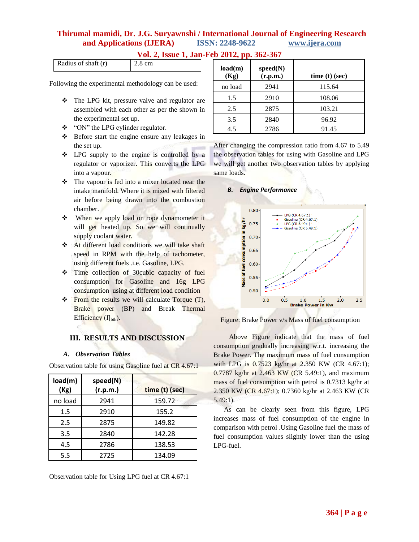| Vol. 2, Issue 1, Jan-Feb 2012, pp. 362-367 |  |  |  |
|--------------------------------------------|--|--|--|
|--------------------------------------------|--|--|--|

| Radius of shaft (r) | 2.8 cm |
|---------------------|--------|

Following the experimental methodology can be used:

- The LPG kit, pressure valve and regulator are assembled with each other as per the shown in the experimental set up.
- \* "ON" the LPG cylinder regulator.
- Before start the engine ensure any leakages in the set up.
- \* LPG supply to the engine is controlled by a regulator or vaporizer. This converts the LPG into a vapour.
- The vapour is fed into a mixer located near the intake manifold. Where it is mixed with filtered air before being drawn into the combustion chamber.
- When we apply load on rope dynamometer it will get heated up. So we will continually supply coolant water.
- At different load conditions we will take shaft speed in RPM with the help of tachometer, using different fuels .i.e. Gasoline, LPG.
- Time collection of 30cubic capacity of fuel consumption for Gasoline and 16g LPG consumption using at different load condition
- \* From the results we will calculate Torque (T), Brake power (BP) and Break Thermal Efficiency  $(I<sub>bth</sub>)$ .

## **III. RESULTS AND DISCUSSION**

### *A. Observation Tables*

Observation table for using Gasoline fuel at CR 4.67:1

| load(m)<br>(Kg) | speed(N)<br>(r.p.m.) | time (t) (sec) |
|-----------------|----------------------|----------------|
| no load         | 2941                 | 159.72         |
| 1.5             | 2910                 | 155.2          |
| 2.5             | 2875                 | 149.82         |
| 3.5             | 2840                 | 142.28         |
| 4.5             | 2786                 | 138.53         |
| 5.5             | 2725                 | 134.09         |

Observation table for Using LPG fuel at CR 4.67:1

| load(m)<br>(Kg) | speed(N)<br>(r.p.m.) | $time(t)$ (sec) |
|-----------------|----------------------|-----------------|
| no load         | 2941                 | 115.64          |
| 1.5             | 2910                 | 108.06          |
| 2.5             | 2875                 | 103.21          |
| 3.5             | 2840                 | 96.92           |
| 4.5             | 2786                 | 91.45           |

After changing the compression ratio from 4.67 to 5.49 the observation tables for using with Gasoline and LPG we will get another two observation tables by applying same loads.

### *B. Engine Performance*



Figure: Brake Power v/s Mass of fuel consumption

 Above Figure indicate that the mass of fuel consumption gradually increasing w.r.t. increasing the Brake Power. The maximum mass of fuel consumption with LPG is 0.7523 kg/hr at 2.350 KW (CR 4.67:1); 0.7787 kg/hr at 2.463 KW (CR 5.49:1), and maximum mass of fuel consumption with petrol is 0.7313 kg/hr at 2.350 KW (CR 4.67:1); 0.7360 kg/hr at 2.463 KW (CR 5.49:1).

 As can be clearly seen from this figure, LPG increases mass of fuel consumption of the engine in comparison with petrol .Using Gasoline fuel the mass of fuel consumption values slightly lower than the using LPG-fuel.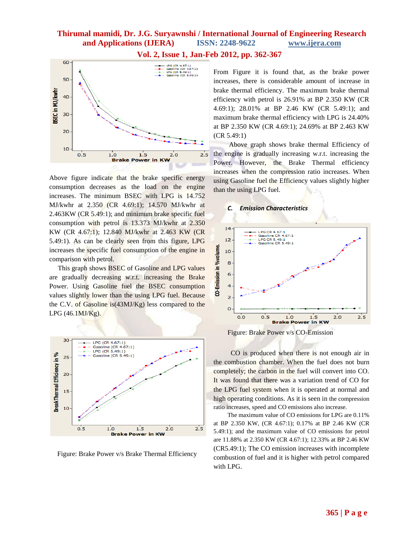

Above figure indicate that the brake specific energy consumption decreases as the load on the engine increases. The minimum BSEC with LPG is 14.752 MJ/kwhr at 2.350 (CR 4.69:1); 14.570 MJ/kwhr at 2.463KW (CR 5.49:1); and minimum brake specific fuel consumption with petrol is 13.373 MJ/kwhr at 2.350 KW (CR 4.67:1); 12.840 MJ/kwhr at 2.463 KW (CR 5.49:1). As can be clearly seen from this figure, LPG increases the specific fuel consumption of the engine in comparison with petrol.

 This graph shows BSEC of Gasoline and LPG values are gradually decreasing w.r.t. increasing the Brake Power. Using Gasoline fuel the BSEC consumption values slightly lower than the using LPG fuel. Because the C.V. of Gasoline is(43MJ/Kg) less compared to the LPG (46.1MJ/Kg).



Figure: Brake Power v/s Brake Thermal Efficiency

**Vol. 2, Issue 1, Jan-Feb 2012, pp. 362-367**

From Figure it is found that, as the brake power increases, there is considerable amount of increase in brake thermal efficiency. The maximum brake thermal efficiency with petrol is 26.91% at BP 2.350 KW (CR 4.69:1); 28.01% at BP 2.46 KW (CR 5.49:1); and maximum brake thermal efficiency with LPG is 24.40% at BP 2.350 KW (CR 4.69:1); 24.69% at BP 2.463 KW (CR 5.49:1)

 Above graph shows brake thermal Efficiency of the engine is gradually increasing w.r.t. increasing the Power. However, the Brake Thermal efficiency increases when the compression ratio increases. When using Gasoline fuel the Efficiency values slightly higher than the using LPG fuel.

#### *C. Emission Characteristics*



Figure: Brake Power v/s CO-Emission

 CO is produced when there is not enough air in the combustion chamber. When the fuel does not burn completely; the carbon in the fuel will convert into CO. It was found that there was a variation trend of CO for the LPG fuel system when it is operated at normal and high operating conditions. As it is seen in the compression ratio increases, speed and CO emissions also increase.

 The maximum value of CO emissions for LPG are 0.11% at BP 2.350 KW, (CR 4.67:1); 0.17% at BP 2.46 KW (CR 5.49:1); and the maximum value of CO emissions for petrol are 11.88% at 2.350 KW (CR 4.67:1); 12.33% at BP 2.46 KW (CR5.49:1); The CO emission increases with incomplete combustion of fuel and it is higher with petrol compared with LPG.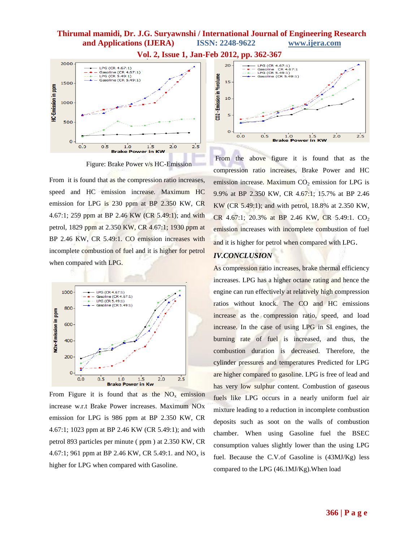

Figure: Brake Power v/s HC-Emission

From it is found that as the compression ratio increases, speed and HC emission increase. Maximum HC emission for LPG is 230 ppm at BP 2.350 KW, CR 4.67:1; 259 ppm at BP 2.46 KW (CR 5.49:1); and with petrol, 1829 ppm at 2.350 KW, CR 4.67:1; 1930 ppm at BP 2.46 KW, CR 5.49:1. CO emission increases with incomplete combustion of fuel and it is higher for petrol when compared with LPG.



From Figure it is found that as the  $NO<sub>x</sub>$  emission increase w.r.t Brake Power increases. Maximum NOx emission for LPG is 986 ppm at BP 2.350 KW, CR 4.67:1; 1023 ppm at BP 2.46 KW (CR 5.49:1); and with petrol 893 particles per minute ( ppm ) at 2.350 KW, CR 4.67:1; 961 ppm at BP 2.46 KW, CR 5.49:1. and  $NO_x$  is higher for LPG when compared with Gasoline.



From the above figure it is found that as the compression ratio increases, Brake Power and HC emission increase. Maximum  $CO<sub>2</sub>$  emission for LPG is 9.9% at BP 2.350 KW, CR 4.67:1; 15.7% at BP 2.46 KW (CR 5.49:1); and with petrol, 18.8% at 2.350 KW, CR 4.67:1; 20.3% at BP 2.46 KW, CR 5.49:1.  $CO<sub>2</sub>$ emission increases with incomplete combustion of fuel and it is higher for petrol when compared with LPG.

## *IV.CONCLUSION*

As compression ratio increases, brake thermal efficiency increases. LPG has a higher octane rating and hence the engine can run effectively at relatively high compression ratios without knock. The CO and HC emissions increase as the compression ratio, speed, and load increase. In the case of using LPG in SI engines, the burning rate of fuel is increased, and thus, the combustion duration is decreased. Therefore, the cylinder pressures and temperatures Predicted for LPG are higher compared to gasoline. LPG is free of lead and has very low sulphur content. Combustion of gaseous fuels like LPG occurs in a nearly uniform fuel air mixture leading to a reduction in incomplete combustion deposits such as soot on the walls of combustion chamber. When using Gasoline fuel the BSEC consumption values slightly lower than the using LPG fuel. Because the C.V.of Gasoline is (43MJ/Kg) less compared to the LPG (46.1MJ/Kg).When load